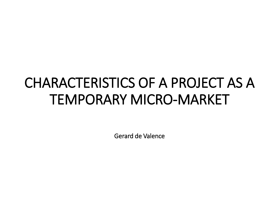# CHARACTERISTICS OF A PROJECT AS A TEMPORARY MICRO-MARKET

Gerard de Valence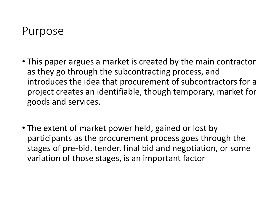#### Purpose

- This paper argues a market is created by the main contractor as they go through the subcontracting process, and introduces the idea that procurement of subcontractors for a project creates an identifiable, though temporary, market for goods and services.
- The extent of market power held, gained or lost by participants as the procurement process goes through the stages of pre-bid, tender, final bid and negotiation, or some variation of those stages, is an important factor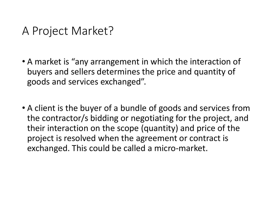#### A Project Market?

- A market is "any arrangement in which the interaction of buyers and sellers determines the price and quantity of goods and services exchanged".
- A client is the buyer of a bundle of goods and services from the contractor/s bidding or negotiating for the project, and their interaction on the scope (quantity) and price of the project is resolved when the agreement or contract is exchanged. This could be called a micro-market.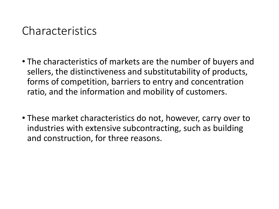#### Characteristics

- The characteristics of markets are the number of buyers and sellers, the distinctiveness and substitutability of products, forms of competition, barriers to entry and concentration ratio, and the information and mobility of customers.
- These market characteristics do not, however, carry over to industries with extensive subcontracting, such as building and construction, for three reasons.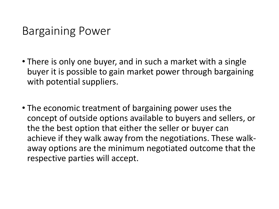## Bargaining Power

- There is only one buyer, and in such a market with a single buyer it is possible to gain market power through bargaining with potential suppliers.
- The economic treatment of bargaining power uses the concept of outside options available to buyers and sellers, or the the best option that either the seller or buyer can achieve if they walk away from the negotiations. These walkaway options are the minimum negotiated outcome that the respective parties will accept.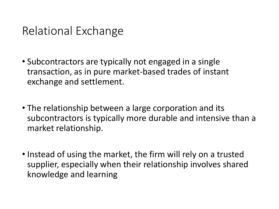# Relational Exchange

- Subcontractors are typically not engaged in a single transaction, as in pure market-based trades of instant exchange and settlement.
- The relationship between a large corporation and its subcontractors is typically more durable and intensive than a market relationship.
- Instead of using the market, the firm will rely on a trusted supplier, especially when their relationship involves shared knowledge and learning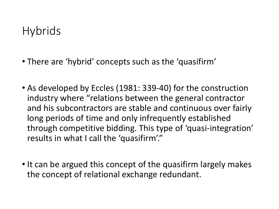# **Hybrids**

- There are 'hybrid' concepts such as the 'quasifirm'
- As developed by Eccles (1981: 339-40) for the construction industry where "relations between the general contractor and his subcontractors are stable and continuous over fairly long periods of time and only infrequently established through competitive bidding. This type of 'quasi-integration' results in what I call the 'quasifirm'."
- It can be argued this concept of the quasifirm largely makes the concept of relational exchange redundant.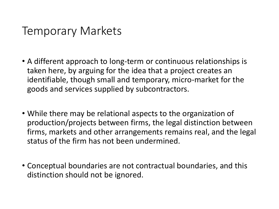## Temporary Markets

- A different approach to long-term or continuous relationships is taken here, by arguing for the idea that a project creates an identifiable, though small and temporary, micro-market for the goods and services supplied by subcontractors.
- While there may be relational aspects to the organization of production/projects between firms, the legal distinction between firms, markets and other arrangements remains real, and the legal status of the firm has not been undermined.
- Conceptual boundaries are not contractual boundaries, and this distinction should not be ignored.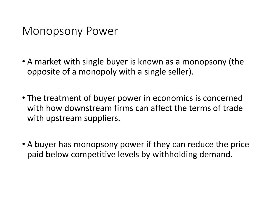## Monopsony Power

- A market with single buyer is known as a monopsony (the opposite of a monopoly with a single seller).
- The treatment of buyer power in economics is concerned with how downstream firms can affect the terms of trade with upstream suppliers.
- A buyer has monopsony power if they can reduce the price paid below competitive levels by withholding demand.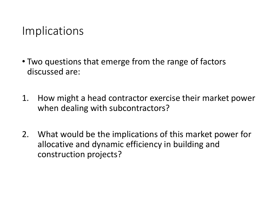## Implications

- Two questions that emerge from the range of factors discussed are:
- 1. How might a head contractor exercise their market power when dealing with subcontractors?
- 2. What would be the implications of this market power for allocative and dynamic efficiency in building and construction projects?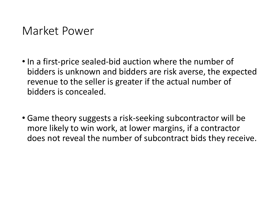#### Market Power

- In a first-price sealed-bid auction where the number of bidders is unknown and bidders are risk averse, the expected revenue to the seller is greater if the actual number of bidders is concealed.
- Game theory suggests a risk-seeking subcontractor will be more likely to win work, at lower margins, if a contractor does not reveal the number of subcontract bids they receive.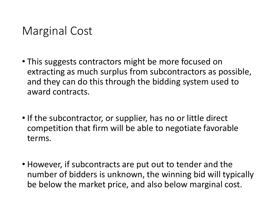# Marginal Cost

- This suggests contractors might be more focused on extracting as much surplus from subcontractors as possible, and they can do this through the bidding system used to award contracts.
- If the subcontractor, or supplier, has no or little direct competition that firm will be able to negotiate favorable terms.
- However, if subcontracts are put out to tender and the number of bidders is unknown, the winning bid will typically be below the market price, and also below marginal cost.